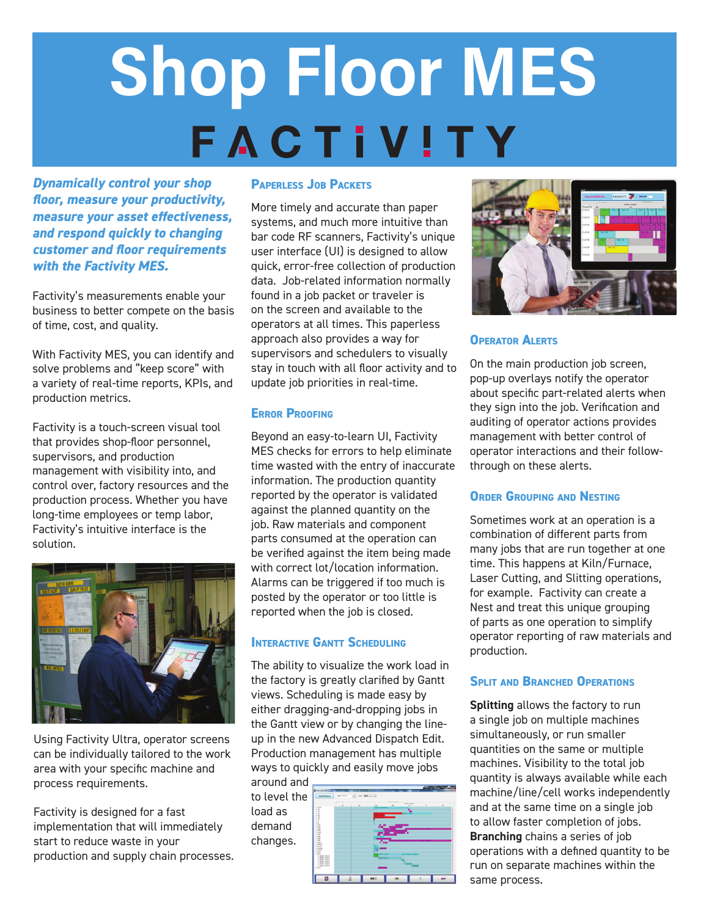# **Shop Floor MES FACTIVITY**

*Dynamically control your shop floor, measure your productivity, measure your asset effectiveness, and respond quickly to changing customer and floor requirements with the Factivity MES.* 

Factivity's measurements enable your business to better compete on the basis of time, cost, and quality.

With Factivity MES, you can identify and solve problems and "keep score" with a variety of real-time reports, KPIs, and production metrics.

Factivity is a touch-screen visual tool that provides shop-floor personnel, supervisors, and production management with visibility into, and control over, factory resources and the production process. Whether you have long-time employees or temp labor, Factivity's intuitive interface is the solution.



Using Factivity Ultra, operator screens can be individually tailored to the work area with your specific machine and process requirements.

Factivity is designed for a fast implementation that will immediately start to reduce waste in your production and supply chain processes.

#### **Paperless Job Packets**

More timely and accurate than paper systems, and much more intuitive than bar code RF scanners, Factivity's unique user interface (UI) is designed to allow quick, error-free collection of production data. Job-related information normally found in a job packet or traveler is on the screen and available to the operators at all times. This paperless approach also provides a way for supervisors and schedulers to visually stay in touch with all floor activity and to update job priorities in real-time.

#### **Error Proofing**

Beyond an easy-to-learn UI, Factivity MES checks for errors to help eliminate time wasted with the entry of inaccurate information. The production quantity reported by the operator is validated against the planned quantity on the job. Raw materials and component parts consumed at the operation can be verified against the item being made with correct lot/location information. Alarms can be triggered if too much is posted by the operator or too little is reported when the job is closed.

#### **Interactive Gantt Scheduling**

The ability to visualize the work load in the factory is greatly clarified by Gantt views. Scheduling is made easy by either dragging-and-dropping jobs in the Gantt view or by changing the lineup in the new Advanced Dispatch Edit. Production management has multiple ways to quickly and easily move jobs

around and to level the load as demand changes.





#### **Operator Alerts**

On the main production job screen, pop-up overlays notify the operator about specific part-related alerts when they sign into the job. Verification and auditing of operator actions provides management with better control of operator interactions and their followthrough on these alerts.

#### **Order Grouping and Nesting**

Sometimes work at an operation is a combination of different parts from many jobs that are run together at one time. This happens at Kiln/Furnace, Laser Cutting, and Slitting operations, for example. Factivity can create a Nest and treat this unique grouping of parts as one operation to simplify operator reporting of raw materials and production.

#### **Split and Branched Operations**

**Splitting** allows the factory to run a single job on multiple machines simultaneously, or run smaller quantities on the same or multiple machines. Visibility to the total job quantity is always available while each machine/line/cell works independently and at the same time on a single job to allow faster completion of jobs. **Branching** chains a series of job operations with a defined quantity to be run on separate machines within the same process.